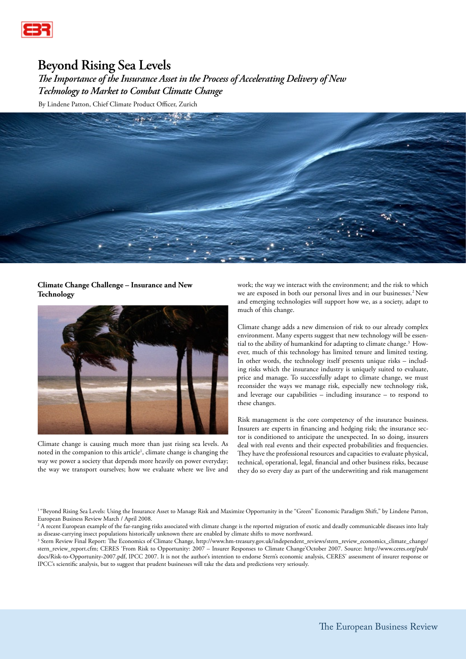

# **Beyond Rising Sea Levels**

*The Importance of the Insurance Asset in the Process of Accelerating Delivery of New Technology to Market to Combat Climate Change*

By Lindene Patton, Chief Climate Product Officer, Zurich



# **Climate Change Challenge – Insurance and New Technology**



Climate change is causing much more than just rising sea levels. As noted in the companion to this article<sup>1</sup>, climate change is changing the way we power a society that depends more heavily on power everyday; the way we transport ourselves; how we evaluate where we live and

work; the way we interact with the environment; and the risk to which we are exposed in both our personal lives and in our businesses.<sup>2</sup> New and emerging technologies will support how we, as a society, adapt to much of this change.

Climate change adds a new dimension of risk to our already complex environment. Many experts suggest that new technology will be essential to the ability of humankind for adapting to climate change.3 However, much of this technology has limited tenure and limited testing. In other words, the technology itself presents unique risks – including risks which the insurance industry is uniquely suited to evaluate, price and manage. To successfully adapt to climate change, we must reconsider the ways we manage risk, especially new technology risk, and leverage our capabilities – including insurance – to respond to these changes.

Risk management is the core competency of the insurance business. Insurers are experts in financing and hedging risk; the insurance sector is conditioned to anticipate the unexpected. In so doing, insurers deal with real events and their expected probabilities and frequencies. They have the professional resources and capacities to evaluate physical, technical, operational, legal, financial and other business risks, because they do so every day as part of the underwriting and risk management

<sup>1</sup> "Beyond Rising Sea Levels: Using the Insurance Asset to Manage Risk and Maximize Opportunity in the "Green" Economic Paradigm Shift," by Lindene Patton, European Business Review March / April 2008.

<sup>2</sup> A recent European example of the far-ranging risks associated with climate change is the reported migration of exotic and deadly communicable diseases into Italy as disease-carrying insect populations historically unknown there are enabled by climate shifts to move northward.

3 Stern Review Final Report: The Economics of Climate Change, http://www.hm-treasury.gov.uk/independent\_reviews/stern\_review\_economics\_climate\_change/ stern\_review\_report.cfm; CERES 'From Risk to Opportunity: 2007 – Insurer Responses to Climate Change'October 2007. Source: http://www.ceres.org/pub/ docs/Risk-to-Opportunity-2007.pdf, IPCC 2007. It is not the author's intention to endorse Stern's economic analysis, CERES' assessment of insurer response or IPCC's scientific analysis, but to suggest that prudent businesses will take the data and predictions very seriously.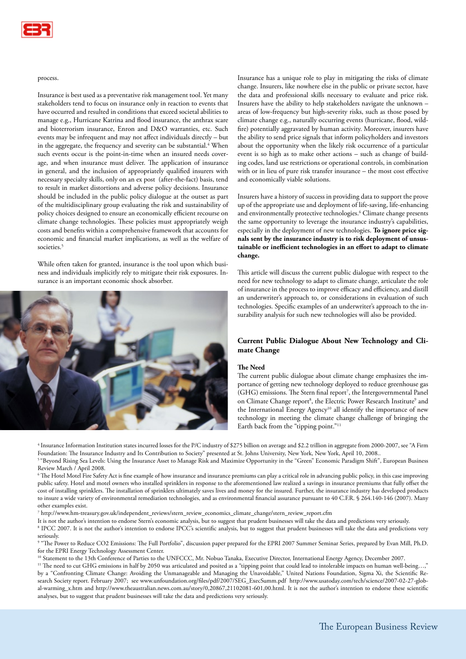

#### process.

Insurance is best used as a preventative risk management tool. Yet many stakeholders tend to focus on insurance only in reaction to events that have occurred and resulted in conditions that exceed societal abilities to manage e.g., Hurricane Katrina and flood insurance, the anthrax scare and bioterrorism insurance, Enron and D&O warranties, etc. Such events may be infrequent and may not affect individuals directly – but in the aggregate, the frequency and severity can be substantial.<sup>4</sup> When such events occur is the point-in-time when an insured needs coverage, and when insurance must deliver. The application of insurance in general, and the inclusion of appropriately qualified insurers with necessary specialty skills, only on an ex post (after-the-fact) basis, tend to result in market distortions and adverse policy decisions. Insurance should be included in the public policy dialogue at the outset as part of the multidisciplinary group evaluating the risk and sustainability of policy choices designed to ensure an economically efficient recourse on climate change technologies. These policies must appropriately weigh costs and benefits within a comprehensive framework that accounts for economic and financial market implications, as well as the welfare of societies.<sup>5</sup>

While often taken for granted, insurance is the tool upon which business and individuals implicitly rely to mitigate their risk exposures. Insurance is an important economic shock absorber.



Insurance has a unique role to play in mitigating the risks of climate change. Insurers, like nowhere else in the public or private sector, have the data and professional skills necessary to evaluate and price risk. Insurers have the ability to help stakeholders navigate the unknown – areas of low-frequency but high-severity risks, such as those posed by climate change e.g., naturally occurring events (hurricane, flood, wildfire) potentially aggravated by human activity. Moreover, insurers have the ability to send price signals that inform policyholders and investors about the opportunity when the likely risk occurrence of a particular event is so high as to make other actions – such as change of building codes, land use restrictions or operational controls, in combination with or in lieu of pure risk transfer insurance – the most cost effective and economically viable solutions.

Insurers have a history of success in providing data to support the prove up of the appropriate use and deployment of life-saving, life-enhancing and environmentally protective technologies.<sup>6</sup> Climate change presents the same opportunity to leverage the insurance industry's capabilities, especially in the deployment of new technologies. **To ignore price signals sent by the insurance industry is to risk deployment of unsustainable or inefficient technologies in an effort to adapt to climate change.**

This article will discuss the current public dialogue with respect to the need for new technology to adapt to climate change, articulate the role of insurance in the process to improve efficacy and efficiency, and distill an underwriter's approach to, or considerations in evaluation of such technologies. Specific examples of an underwriter's approach to the insurability analysis for such new technologies will also be provided.

## **Current Public Dialogue About New Technology and Climate Change**

## **The Need**

The current public dialogue about climate change emphasizes the importance of getting new technology deployed to reduce greenhouse gas  $(GHG)$  emissions. The Stern final report<sup>7</sup>, the Intergovernmental Panel on Climate Change report<sup>8</sup>, the Electric Power Research Institute<sup>9</sup> and the International Energy Agency<sup>10</sup> all identify the importance of new technology in meeting the climate change challenge of bringing the Earth back from the "tipping point."<sup>11</sup>

4 Insurance Information Institution states incurred losses for the P/C industry of \$275 billion on average and \$2.2 trillion in aggregate from 2000-2007, see "A Firm Foundation: The Insurance Industry and Its Contribution to Society" presented at St. Johns University, New York, New York, April 10, 2008.. <sup>5</sup> "Beyond Rising Sea Levels: Using the Insurance Asset to Manage Risk and Maximize Opportunity in the "Green" Economic Paradigm Shift", European Business Review March / April 2008.

 $^{\rm 6}$  The Hotel Motel Fire Safety Act is fine example of how insurance and insurance premiums can play a critical role in advancing public policy, in this case improving public safety. Hotel and motel owners who installed sprinklers in response to the aforementioned law realized a savings in insurance premiums that fully offset the cost of installing sprinklers. The installation of sprinklers ultimately saves lives and money for the insured. Further, the insurance industry has developed products to insure a wide variety of environmental remediation technologies, and as environmental financial assurance pursuant to 40 C.F.R. § 264.140-146 (2007). Many other examples exist.

7 http://www.hm-treasury.gov.uk/independent\_reviews/stern\_review\_economics\_climate\_change/stern\_review\_report.cfm

It is not the author's intention to endorse Stern's economic analysis, but to suggest that prudent businesses will take the data and predictions very seriously. 8 IPCC 2007. It is not the author's intention to endorse IPCC's scientific analysis, but to suggest that prudent businesses will take the data and predictions very

seriously. 9 "The Power to Reduce CO2 Emissions: The Full Portfolio", discussion paper prepared for the EPRI 2007 Summer Seminar Series, prepared by Evan Mill, Ph.D. for the EPRI Energy Technology Assessment Center.

<sup>10</sup> Statement to the 13th Conference of Parties to the UNFCCC, Mr. Nobuo Tanaka, Executive Director, International Energy Agency, December 2007.

<sup>11</sup> The need to cut GHG emissions in half by 2050 was articulated and posited as a "tipping point that could lead to intolerable impacts on human well-being...," by a "Confronting Climate Change: Avoiding the Unmanageable and Managing the Unavoidable," United Nations Foundation, Sigma Xi, the Scientific Research Society report. February 2007; see www.unfoundation.org/files/pdf/2007/SEG\_ExecSumm.pdf http://www.usatoday.com/tech/science/2007-02-27-global-warming\_x.htm and http://www.theaustralian.news.com.au/story/0,20867,21102081-601,00.html. It is not the author's intention to endorse these scientific analyses, but to suggest that prudent businesses will take the data and predictions very seriously.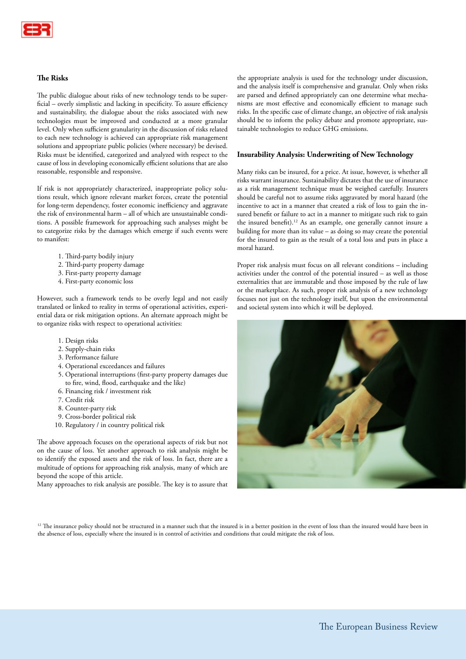

## **The Risks**

The public dialogue about risks of new technology tends to be superficial – overly simplistic and lacking in specificity. To assure efficiency and sustainability, the dialogue about the risks associated with new technologies must be improved and conducted at a more granular level. Only when sufficient granularity in the discussion of risks related to each new technology is achieved can appropriate risk management solutions and appropriate public policies (where necessary) be devised. Risks must be identified, categorized and analyzed with respect to the cause of loss in developing economically efficient solutions that are also reasonable, responsible and responsive.

If risk is not appropriately characterized, inappropriate policy solutions result, which ignore relevant market forces, create the potential for long-term dependency, foster economic inefficiency and aggravate the risk of environmental harm – all of which are unsustainable conditions. A possible framework for approaching such analyses might be to categorize risks by the damages which emerge if such events were to manifest:

- 1. Third-party bodily injury
- 2. Third-party property damage
- 3. First-party property damage
- 4. First-party economic loss

However, such a framework tends to be overly legal and not easily translated or linked to reality in terms of operational activities, experiential data or risk mitigation options. An alternate approach might be to organize risks with respect to operational activities:

- 1. Design risks
- 2. Supply-chain risks
- 3. Performance failure
- 4. Operational exceedances and failures
- 5. Operational interruptions (first-party property damages due to fire, wind, flood, earthquake and the like)
- 6. Financing risk / investment risk
- 7. Credit risk
- 8. Counter-party risk
- 9. Cross-border political risk
- 10. Regulatory / in country political risk

The above approach focuses on the operational aspects of risk but not on the cause of loss. Yet another approach to risk analysis might be to identify the exposed assets and the risk of loss. In fact, there are a multitude of options for approaching risk analysis, many of which are beyond the scope of this article.

Many approaches to risk analysis are possible. The key is to assure that

the appropriate analysis is used for the technology under discussion, and the analysis itself is comprehensive and granular. Only when risks are parsed and defined appropriately can one determine what mechanisms are most effective and economically efficient to manage such risks. In the specific case of climate change, an objective of risk analysis should be to inform the policy debate and promote appropriate, sustainable technologies to reduce GHG emissions.

## **Insurability Analysis: Underwriting of New Technology**

Many risks can be insured, for a price. At issue, however, is whether all risks warrant insurance. Sustainability dictates that the use of insurance as a risk management technique must be weighed carefully. Insurers should be careful not to assume risks aggravated by moral hazard (the incentive to act in a manner that created a risk of loss to gain the insured benefit or failure to act in a manner to mitigate such risk to gain the insured benefit).<sup>12</sup> As an example, one generally cannot insure a building for more than its value – as doing so may create the potential for the insured to gain as the result of a total loss and puts in place a moral hazard.

Proper risk analysis must focus on all relevant conditions – including activities under the control of the potential insured – as well as those externalities that are immutable and those imposed by the rule of law or the marketplace. As such, proper risk analysis of a new technology focuses not just on the technology itself, but upon the environmental and societal system into which it will be deployed.



<sup>12</sup> The insurance policy should not be structured in a manner such that the insured is in a better position in the event of loss than the insured would have been in the absence of loss, especially where the insured is in control of activities and conditions that could mitigate the risk of loss.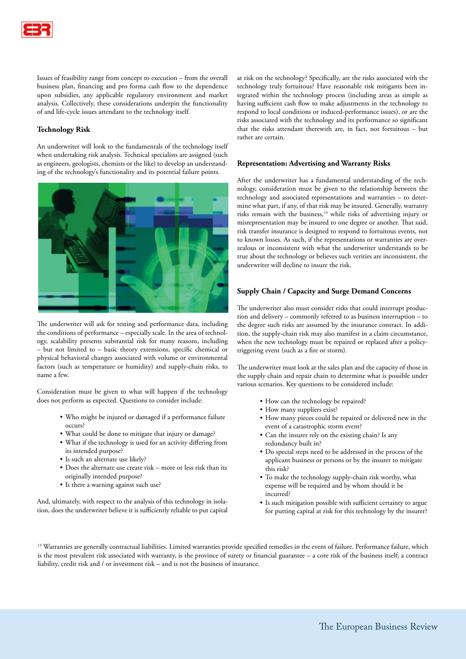

Issues of feasibility range from concept to execution – from the overall business plan, financing and pro forma cash flow to the dependence upon subsidies, any applicable regulatory environment and market analysis. Collectively, these considerations underpin the functionality of and life-cycle issues attendant to the technology itself.

# **Technology Risk**

An underwriter will look to the fundamentals of the technology itself when undertaking risk analysis. Technical specialists are assigned (such as engineers, geologists, chemists or the like) to develop an understanding of the technology's functionality and its potential failure points.



The underwriter will ask for testing and performance data, including the conditions of performance – especially scale. In the area of technology, scalability presents substantial risk for many reasons, including – but not limited to – basic theory extensions, specific chemical or physical behavioral changes associated with volume or environmental factors (such as temperature or humidity) and supply-chain risks, to name a few.

Consideration must be given to what will happen if the technology does not perform as expected. Questions to consider include:

- Who might be injured or damaged if a performance failure occurs?
- What could be done to mitigate that injury or damage?
- What if the technology is used for an activity differing from its intended purpose?
- Is such an alternate use likely?
- Does the alternate use create risk more or less risk than its originally intended purpose?
- Is there a warning against such use?

And, ultimately, with respect to the analysis of this technology in isolation, does the underwriter believe it is sufficiently reliable to put capital at risk on the technology? Specifically, are the risks associated with the technology truly fortuitous? Have reasonable risk mitigants been integrated within the technology process (including areas as simple as having sufficient cash flow to make adjustments in the technology to respond to local conditions or induced-performance issues), or are the risks associated with the technology and its performance so significant that the risks attendant therewith are, in fact, not fortuitous – but rather are certain.

## **Representation: Advertising and Warranty Risks**

After the underwriter has a fundamental understanding of the technology, consideration must be given to the relationship between the technology and associated representations and warranties – to determine what part, if any, of that risk may be insured. Generally, warranty risks remain with the business,<sup>13</sup> while risks of advertising injury or misrepresentation may be insured to one degree or another. That said, risk transfer insurance is designed to respond to fortuitous events, not to known losses. As such, if the representations or warranties are overzealous or inconsistent with what the underwriter understands to be true about the technology or believes such verities are inconsistent, the underwriter will decline to insure the risk.

## **Supply Chain / Capacity and Surge Demand Concerns**

The underwriter also must consider risks that could interrupt production and delivery – commonly referred to as business interruption – to the degree such risks are assumed by the insurance contract. In addition, the supply-chain risk may also manifest in a claim circumstance, when the new technology must be repaired or replaced after a policytriggering event (such as a fire or storm).

The underwriter must look at the sales plan and the capacity of those in the supply chain and repair chain to determine what is possible under various scenarios. Key questions to be considered include:

- How can the technology be repaired?
- How many suppliers exist?
- How many pieces could be repaired or delivered new in the event of a catastrophic storm event?
- Can the insurer rely on the existing chain? Is any redundancy built in?
- Do special steps need to be addressed in the process of the applicant business or persons or by the insurer to mitigate this risk?
- To make the technology supply-chain risk worthy, what expense will be required and by whom should it be incurred?
- Is such mitigation possible with sufficient certainty to argue for putting capital at risk for this technology by the insurer?

<sup>13</sup> Warranties are generally contractual liabilities. Limited warranties provide specified remedies in the event of failure. Performance failure, which is the most prevalent risk associated with warranty, is the province of surety or financial guarantee – a core risk of the business itself; a contract liability, credit risk and / or investment risk – and is not the business of insurance.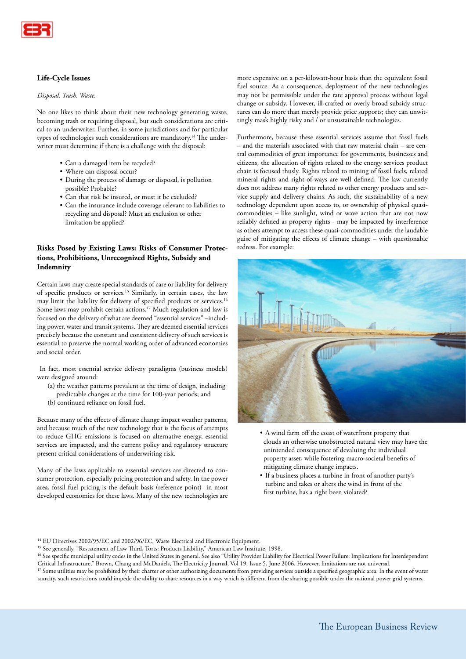

# **Life-Cycle Issues**

#### *Disposal. Trash. Waste.*

No one likes to think about their new technology generating waste, becoming trash or requiring disposal, but such considerations are critical to an underwriter. Further, in some jurisdictions and for particular types of technologies such considerations are mandatory.<sup>14</sup> The underwriter must determine if there is a challenge with the disposal:

- Can a damaged item be recycled?
- Where can disposal occur?
- During the process of damage or disposal, is pollution possible? Probable?
- Can that risk be insured, or must it be excluded?
- Can the insurance include coverage relevant to liabilities to recycling and disposal? Must an exclusion or other limitation be applied?

# **Risks Posed by Existing Laws: Risks of Consumer Protections, Prohibitions, Unrecognized Rights, Subsidy and Indemnity**

Certain laws may create special standards of care or liability for delivery of specific products or services.15 Similarly, in certain cases, the law may limit the liability for delivery of specified products or services.<sup>16</sup> Some laws may prohibit certain actions.17 Much regulation and law is focused on the delivery of what are deemed "essential services" –including power, water and transit systems. They are deemed essential services precisely because the constant and consistent delivery of such services is essential to preserve the normal working order of advanced economies and social order.

 In fact, most essential service delivery paradigms (business models) were designed around:

- (a) the weather patterns prevalent at the time of design, including predictable changes at the time for 100-year periods; and
- (b) continued reliance on fossil fuel.
- 

Because many of the effects of climate change impact weather patterns, and because much of the new technology that is the focus of attempts to reduce GHG emissions is focused on alternative energy, essential services are impacted, and the current policy and regulatory structure present critical considerations of underwriting risk.

Many of the laws applicable to essential services are directed to consumer protection, especially pricing protection and safety. In the power area, fossil fuel pricing is the default basis (reference point) in most developed economies for these laws. Many of the new technologies are

more expensive on a per-kilowatt-hour basis than the equivalent fossil fuel source. As a consequence, deployment of the new technologies may not be permissible under the rate approval process without legal change or subsidy. However, ill-crafted or overly broad subsidy structures can do more than merely provide price supports; they can unwittingly mask highly risky and / or unsustainable technologies.

Furthermore, because these essential services assume that fossil fuels – and the materials associated with that raw material chain – are central commodities of great importance for governments, businesses and citizens, the allocation of rights related to the energy services product chain is focused thusly. Rights related to mining of fossil fuels, related mineral rights and right-of-ways are well defined. The law currently does not address many rights related to other energy products and service supply and delivery chains. As such, the sustainability of a new technology dependent upon access to, or ownership of physical quasicommodities – like sunlight, wind or wave action that are not now reliably defined as property rights - may be impacted by interference as others attempt to access these quasi-commodities under the laudable guise of mitigating the effects of climate change – with questionable redress. For example:



- A wind farm off the coast of waterfront property that clouds an otherwise unobstructed natural view may have the unintended consequence of devaluing the individual property asset, while fostering macro-societal benefits of mitigating climate change impacts.
- If a business places a turbine in front of another party's turbine and takes or alters the wind in front of the first turbine, has a right been violated?

<sup>&</sup>lt;sup>14</sup> EU Directives 2002/95/EC and 2002/96/EC, Waste Electrical and Electronic Equipment.

<sup>&</sup>lt;sup>15</sup> See generally, "Restatement of Law Third, Torts: Products Liability," American Law Institute, 1998.

<sup>&</sup>lt;sup>16</sup> See specific municipal utility codes in the United States in general. See also "Utility Provider Liability for Electrical Power Failure: Implications for Interdependent Critical Infrastructure," Brown, Chang and McDaniels, The Electricity Journal, Vol 19, Issue 5, June 2006. However, limitations are not universal.

<sup>&</sup>lt;sup>17</sup> Some utilities may be prohibited by their charter or other authorizing documents from providing services outside a specified geographic area. In the event of water scarcity, such restrictions could impede the ability to share resources in a way which is different from the sharing possible under the national power grid systems.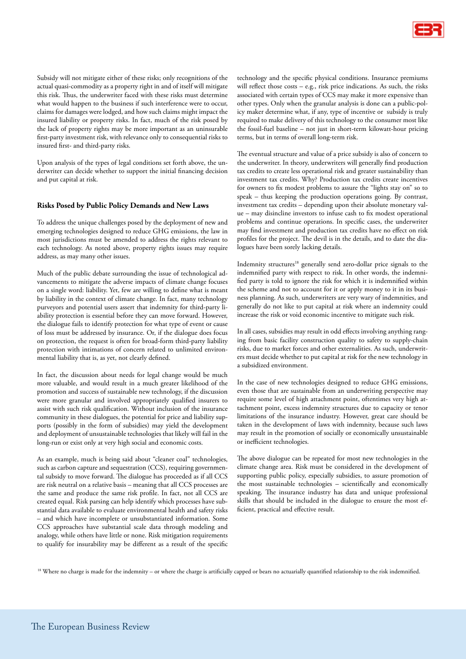

Subsidy will not mitigate either of these risks; only recognitions of the actual quasi-commodity as a property right in and of itself will mitigate this risk. Thus, the underwriter faced with these risks must determine what would happen to the business if such interference were to occur, claims for damages were lodged, and how such claims might impact the insured liability or property risks. In fact, much of the risk posed by the lack of property rights may be more important as an uninsurable first-party investment risk, with relevance only to consequential risks to insured first- and third-party risks.

Upon analysis of the types of legal conditions set forth above, the underwriter can decide whether to support the initial financing decision and put capital at risk.

## **Risks Posed by Public Policy Demands and New Laws**

To address the unique challenges posed by the deployment of new and emerging technologies designed to reduce GHG emissions, the law in most jurisdictions must be amended to address the rights relevant to each technology. As noted above, property rights issues may require address, as may many other issues.

Much of the public debate surrounding the issue of technological advancements to mitigate the adverse impacts of climate change focuses on a single word: liability. Yet, few are willing to define what is meant by liability in the context of climate change. In fact, many technology purveyors and potential users assert that indemnity for third-party liability protection is essential before they can move forward. However, the dialogue fails to identify protection for what type of event or cause of loss must be addressed by insurance. Or, if the dialogue does focus on protection, the request is often for broad-form third-party liability protection with intimations of concern related to unlimited environmental liability that is, as yet, not clearly defined.

In fact, the discussion about needs for legal change would be much more valuable, and would result in a much greater likelihood of the promotion and success of sustainable new technology, if the discussion were more granular and involved appropriately qualified insurers to assist with such risk qualification. Without inclusion of the insurance community in these dialogues, the potential for price and liability supports (possibly in the form of subsidies) may yield the development and deployment of unsustainable technologies that likely will fail in the long-run or exist only at very high social and economic costs.

As an example, much is being said about "cleaner coal" technologies, such as carbon capture and sequestration (CCS), requiring governmental subsidy to move forward. The dialogue has proceeded as if all CCS are risk neutral on a relative basis – meaning that all CCS processes are the same and produce the same risk profile. In fact, not all CCS are created equal. Risk parsing can help identify which processes have substantial data available to evaluate environmental health and safety risks – and which have incomplete or unsubstantiated information. Some CCS approaches have substantial scale data through modeling and analogy, while others have little or none. Risk mitigation requirements to qualify for insurability may be different as a result of the specific technology and the specific physical conditions. Insurance premiums will reflect those costs - e.g., risk price indications. As such, the risks associated with certain types of CCS may make it more expensive than other types. Only when the granular analysis is done can a public-policy maker determine what, if any, type of incentive or subsidy is truly required to make delivery of this technology to the consumer most like the fossil-fuel baseline – not just in short-term kilowatt-hour pricing terms, but in terms of overall long-term risk.

The eventual structure and value of a price subsidy is also of concern to the underwriter. In theory, underwriters will generally find production tax credits to create less operational risk and greater sustainability than investment tax credits. Why? Production tax credits create incentives for owners to fix modest problems to assure the "lights stay on" so to speak – thus keeping the production operations going. By contrast, investment tax credits – depending upon their absolute monetary value – may disincline investors to infuse cash to fix modest operational problems and continue operations. In specific cases, the underwriter may find investment and production tax credits have no effect on risk profiles for the project. The devil is in the details, and to date the dialogues have been sorely lacking details.

Indemnity structures<sup>18</sup> generally send zero-dollar price signals to the indemnified party with respect to risk. In other words, the indemnified party is told to ignore the risk for which it is indemnified within the scheme and not to account for it or apply money to it in its business planning. As such, underwriters are very wary of indemnities, and generally do not like to put capital at risk where an indemnity could increase the risk or void economic incentive to mitigate such risk.

In all cases, subsidies may result in odd effects involving anything ranging from basic facility construction quality to safety to supply-chain risks, due to market forces and other externalities. As such, underwriters must decide whether to put capital at risk for the new technology in a subsidized environment.

In the case of new technologies designed to reduce GHG emissions, even those that are sustainable from an underwriting perspective may require some level of high attachment point, oftentimes very high attachment point, excess indemnity structures due to capacity or tenor limitations of the insurance industry. However, great care should be taken in the development of laws with indemnity, because such laws may result in the promotion of socially or economically unsustainable or inefficient technologies.

The above dialogue can be repeated for most new technologies in the climate change area. Risk must be considered in the development of supporting public policy, especially subsidies, to assure promotion of the most sustainable technologies – scientifically and economically speaking. The insurance industry has data and unique professional skills that should be included in the dialogue to ensure the most efficient, practical and effective result.

<sup>18</sup> Where no charge is made for the indemnity – or where the charge is artificially capped or bears no actuarially quantified relationship to the risk indemnified.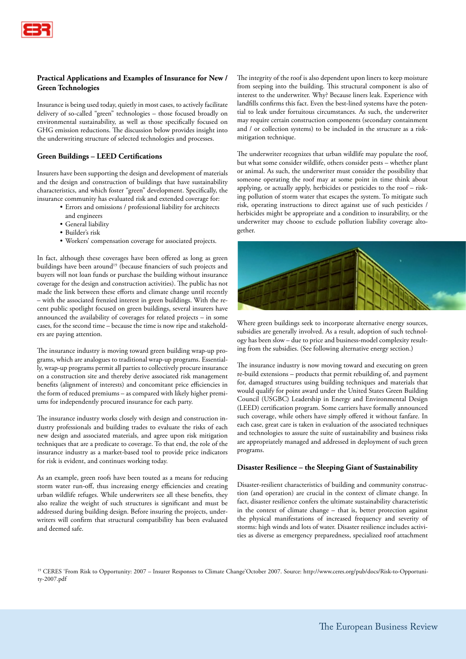

# **Practical Applications and Examples of Insurance for New / Green Technologies**

Insurance is being used today, quietly in most cases, to actively facilitate delivery of so-called "green" technologies – those focused broadly on environmental sustainability, as well as those specifically focused on GHG emission reductions. The discussion below provides insight into the underwriting structure of selected technologies and processes.

## **Green Buildings – LEED Certifications**

Insurers have been supporting the design and development of materials and the design and construction of buildings that have sustainability characteristics, and which foster "green" development. Specifically, the insurance community has evaluated risk and extended coverage for:

- Errors and omissions / professional liability for architects
- and engineers
- General liability
- Builder's risk
- Workers' compensation coverage for associated projects.

In fact, although these coverages have been offered as long as green buildings have been around<sup>19</sup> (because financiers of such projects and buyers will not loan funds or purchase the building without insurance coverage for the design and construction activities). The public has not made the link between these efforts and climate change until recently – with the associated frenzied interest in green buildings. With the recent public spotlight focused on green buildings, several insurers have announced the availability of coverages for related projects – in some cases, for the second time – because the time is now ripe and stakeholders are paying attention.

The insurance industry is moving toward green building wrap-up programs, which are analogues to traditional wrap-up programs. Essentially, wrap-up programs permit all parties to collectively procure insurance on a construction site and thereby derive associated risk management benefits (alignment of interests) and concomitant price efficiencies in the form of reduced premiums – as compared with likely higher premiums for independently procured insurance for each party.

The insurance industry works closely with design and construction industry professionals and building trades to evaluate the risks of each new design and associated materials, and agree upon risk mitigation techniques that are a predicate to coverage. To that end, the role of the insurance industry as a market-based tool to provide price indicators for risk is evident, and continues working today.

As an example, green roofs have been touted as a means for reducing storm water run-off, thus increasing energy efficiencies and creating urban wildlife refuges. While underwriters see all these benefits, they also realize the weight of such structures is significant and must be addressed during building design. Before insuring the projects, underwriters will confirm that structural compatibility has been evaluated and deemed safe.

The integrity of the roof is also dependent upon liners to keep moisture from seeping into the building. This structural component is also of interest to the underwriter. Why? Because liners leak. Experience with landfills confirms this fact. Even the best-lined systems have the potential to leak under fortuitous circumstances. As such, the underwriter may require certain construction components (secondary containment and / or collection systems) to be included in the structure as a riskmitigation technique.

The underwriter recognizes that urban wildlife may populate the roof, but what some consider wildlife, others consider pests – whether plant or animal. As such, the underwriter must consider the possibility that someone operating the roof may at some point in time think about applying, or actually apply, herbicides or pesticides to the roof – risking pollution of storm water that escapes the system. To mitigate such risk, operating instructions to direct against use of such pesticides / herbicides might be appropriate and a condition to insurability, or the underwriter may choose to exclude pollution liability coverage altogether.



Where green buildings seek to incorporate alternative energy sources, subsidies are generally involved. As a result, adoption of such technology has been slow – due to price and business-model complexity resulting from the subsidies. (See following alternative energy section.)

The insurance industry is now moving toward and executing on green re-build extensions – products that permit rebuilding of, and payment for, damaged structures using building techniques and materials that would qualify for point award under the United States Green Building Council (USGBC) Leadership in Energy and Environmental Design (LEED) certification program. Some carriers have formally announced such coverage, while others have simply offered it without fanfare. In each case, great care is taken in evaluation of the associated techniques and technologies to assure the suite of sustainability and business risks are appropriately managed and addressed in deployment of such green programs.

## **Disaster Resilience – the Sleeping Giant of Sustainability**

Disaster-resilient characteristics of building and community construction (and operation) are crucial in the context of climate change. In fact, disaster resilience confers the ultimate sustainability characteristic in the context of climate change – that is, better protection against the physical manifestations of increased frequency and severity of storms: high winds and lots of water. Disaster resilience includes activities as diverse as emergency preparedness, specialized roof attachment

19 CERES 'From Risk to Opportunity: 2007 – Insurer Responses to Climate Change'October 2007. Source: http://www.ceres.org/pub/docs/Risk-to-Opportunity-2007.pdf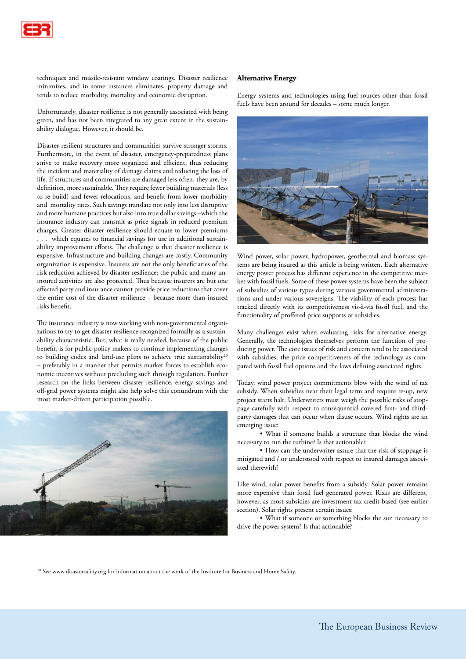

techniques and missile-resistant window coatings. Disaster resilience minimizes, and in some instances eliminates, property damage and tends to reduce morbidity, mortality and economic disruption.

Unfortunately, disaster resilience is not generally associated with being green, and has not been integrated to any great extent in the sustainability dialogue. However, it should be.

Disaster-resilient structures and communities survive stronger storms. Furthermore, in the event of disaster, emergency-preparedness plans strive to make recovery more organized and efficient, thus reducing the incident and materiality of damage claims and reducing the loss of life. If structures and communities are damaged less often, they are, by definition, more sustainable. They require fewer building materials (less to re-build) and fewer relocations, and benefit from lower morbidity and mortality rates. Such savings translate not only into less disruptive and more humane practices but also into true dollar savings –which the insurance industry can transmit as price signals in reduced premium charges. Greater disaster resilience should equate to lower premiums . . . which equates to financial savings for use in additional sustainability improvement efforts. The challenge is that disaster resilience is expensive. Infrastructure and building changes are costly. Community organization is expensive. Insurers are not the only beneficiaries of the risk reduction achieved by disaster resilience; the public and many uninsured activities are also protected. Thus because insurers are but one affected party and insurance cannot provide price reductions that cover the entire cost of the disaster resilience – because more than insured risks benefit.

The insurance industry is now working with non-governmental organizations to try to get disaster resilience recognized formally as a sustainability characteristic. But, what is really needed, because of the public benefit, is for public-policy makers to continue implementing changes to building codes and land-use plans to achieve true sustainability<sup>20</sup> – preferably in a manner that permits market forces to establish economic incentives without precluding such through regulation. Further research on the links between disaster resilience, energy savings and off-grid power systems might also help solve this conundrum with the most market-driven participation possible.



#### **Alternative Energy**

Energy systems and technologies using fuel sources other than fossil fuels have been around for decades – some much longer.



Wind power, solar power, hydropower, geothermal and biomass systems are being insured as this article is being written. Each alternative energy power process has different experience in the competitive market with fossil fuels. Some of these power systems have been the subject of subsidies of various types during various governmental administrations and under various sovereigns. The viability of each process has tracked directly with its competitiveness vis-à-vis fossil fuel, and the functionality of proffered price supports or subsidies.

Many challenges exist when evaluating risks for alternative energy. Generally, the technologies themselves perform the function of producing power. The core issues of risk and concern tend to be associated with subsidies, the price competitiveness of the technology as compared with fossil fuel options and the laws defining associated rights.

Today, wind power project commitments blow with the wind of tax subsidy. When subsidies near their legal term and require re-up, new project starts halt. Underwriters must weigh the possible risks of stoppage carefully with respect to consequential covered first- and thirdparty damages that can occur when disuse occurs. Wind rights are an emerging issue:

 • What if someone builds a structure that blocks the wind necessary to run the turbine? Is that actionable?

 • How can the underwriter assure that the risk of stoppage is mitigated and / or understood with respect to insured damages associated therewith?

Like wind, solar power benefits from a subsidy. Solar power remains more expensive than fossil fuel generated power. Risks are different, however, as most subsidies are investment tax credit-based (see earlier section). Solar rights present certain issues:

 • What if someone or something blocks the sun necessary to drive the power system? Is that actionable?

<sup>20</sup> See www.disastersafety.org for information about the work of the Institute for Business and Home Safety.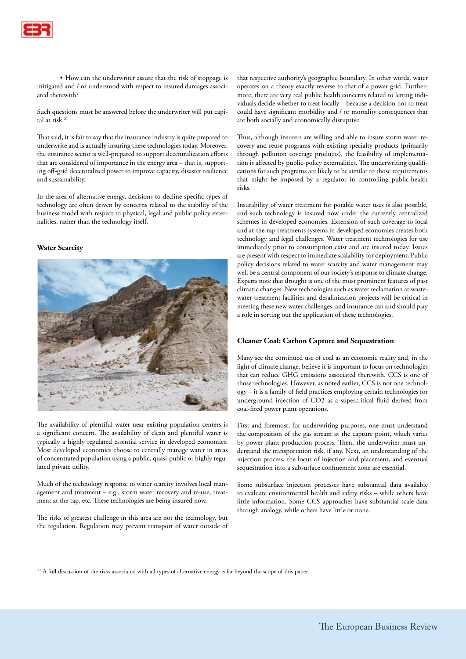

 • How can the underwriter assure that the risk of stoppage is mitigated and / or understood with respect to insured damages associated therewith?

Such questions must be answered before the underwriter will put capital at risk.21

That said, it is fair to say that the insurance industry is quite prepared to underwrite and is actually insuring these technologies today. Moreover, the insurance sector is well-prepared to support decentralization efforts that are considered of importance in the energy area – that is, supporting off-grid decentralized power to improve capacity, disaster resilience and sustainability.

In the area of alternative energy, decisions to decline specific types of technology are often driven by concerns related to the stability of the business model with respect to physical, legal and public policy externalities, rather than the technology itself.

#### **Water Scarcity**



The availability of plentiful water near existing population centers is a significant concern. The availability of clean and plentiful water is typically a highly regulated essential service in developed economies. Most developed economies choose to centrally manage water in areas of concentrated population using a public, quasi-public or highly regulated private utility.

Much of the technology response to water scarcity involves local management and treatment – e.g., storm water recovery and re-use, treatment at the tap, etc. These technologies are being insured now.

The risks of greatest challenge in this area are not the technology, but the regulation. Regulation may prevent transport of water outside of that respective authority's geographic boundary. In other words, water operates on a theory exactly reverse to that of a power grid. Furthermore, there are very real public health concerns related to letting individuals decide whether to treat locally – because a decision not to treat could have significant morbidity and / or mortality consequences that are both socially and economically disruptive.

Thus, although insurers are willing and able to insure storm water recovery and reuse programs with existing specialty products (primarily through pollution coverage products), the feasibility of implementation is affected by public-policy externalities. The underwriting qualifications for such programs are likely to be similar to those requirements that might be imposed by a regulator in controlling public-health risks.

Insurability of water treatment for potable water uses is also possible, and such technology is insured now under the currently centralized schemes in developed economies. Extension of such coverage to local and at-the-tap treatments systems in developed economies creates both technology and legal challenges. Water treatment technologies for use immediately prior to consumption exist and are insured today. Issues are present with respect to immediate scalability for deployment. Public policy decisions related to water scarcity and water management may well be a central component of our society's response to climate change. Experts note that drought is one of the most prominent features of past climatic changes. New technologies such as water reclamation at wastewater treatment facilities and desalinization projects will be critical in meeting these new water challenges, and insurance can and should play a role in sorting out the application of these technologies.

#### **Cleaner Coal: Carbon Capture and Sequestration**

Many see the continued use of coal as an economic reality and, in the light of climate change, believe it is important to focus on technologies that can reduce GHG emissions associated therewith. CCS is one of those technologies. However, as noted earlier, CCS is not one technology – it is a family of field practices employing certain technologies for underground injection of CO2 as a supercritical fluid derived from coal-fired power plant operations.

First and foremost, for underwriting purposes, one must understand the composition of the gas stream at the capture point, which varies by power plant production process. Then, the underwriter must understand the transportation risk, if any. Next, an understanding of the injection process, the locus of injection and placement, and eventual sequestration into a subsurface confinement zone are essential.

Some subsurface injection processes have substantial data available to evaluate environmental health and safety risks – while others have little information. Some CCS approaches have substantial scale data through analogy, while others have little or none.

 $21$  A full discussion of the risks associated with all types of alternative energy is far beyond the scope of this paper.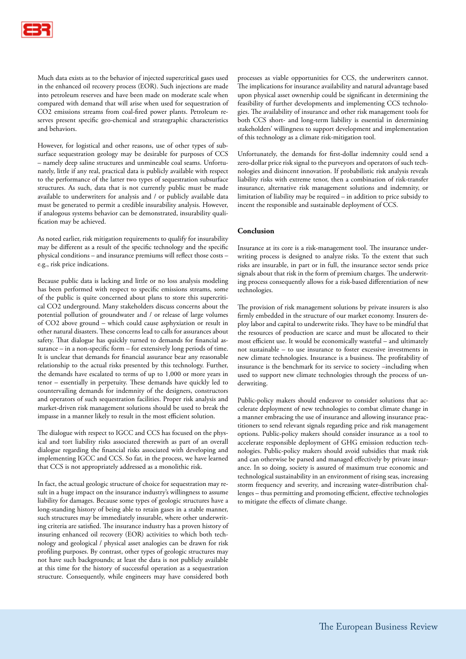Much data exists as to the behavior of injected supercritical gases used in the enhanced oil recovery process (EOR). Such injections are made into petroleum reserves and have been made on moderate scale when compared with demand that will arise when used for sequestration of CO2 emissions streams from coal-fired power plants. Petroleum reserves present specific geo-chemical and strategraphic characteristics and behaviors.

However, for logistical and other reasons, use of other types of subsurface sequestration geology may be desirable for purposes of CCS – namely deep saline structures and unmineable coal seams. Unfortunately, little if any real, practical data is publicly available with respect to the performance of the latter two types of sequestration subsurface structures. As such, data that is not currently public must be made available to underwriters for analysis and / or publicly available data must be generated to permit a credible insurability analysis. However, if analogous systems behavior can be demonstrated, insurability qualification may be achieved.

As noted earlier, risk mitigation requirements to qualify for insurability may be different as a result of the specific technology and the specific physical conditions – and insurance premiums will reflect those costs – e.g., risk price indications.

Because public data is lacking and little or no loss analysis modeling has been performed with respect to specific emissions streams, some of the public is quite concerned about plans to store this supercritical CO2 underground. Many stakeholders discuss concerns about the potential pollution of groundwater and / or release of large volumes of CO2 above ground – which could cause asphyxiation or result in other natural disasters. These concerns lead to calls for assurances about safety. That dialogue has quickly turned to demands for financial assurance – in a non-specific form – for extensively long periods of time. It is unclear that demands for financial assurance bear any reasonable relationship to the actual risks presented by this technology. Further, the demands have escalated to terms of up to 1,000 or more years in tenor – essentially in perpetuity. These demands have quickly led to countervailing demands for indemnity of the designers, constructors and operators of such sequestration facilities. Proper risk analysis and market-driven risk management solutions should be used to break the impasse in a manner likely to result in the most efficient solution.

The dialogue with respect to IGCC and CCS has focused on the physical and tort liability risks associated therewith as part of an overall dialogue regarding the financial risks associated with developing and implementing IGCC and CCS. So far, in the process, we have learned that CCS is not appropriately addressed as a monolithic risk.

In fact, the actual geologic structure of choice for sequestration may result in a huge impact on the insurance industry's willingness to assume liability for damages. Because some types of geologic structures have a long-standing history of being able to retain gases in a stable manner, such structures may be immediately insurable, where other underwriting criteria are satisfied. The insurance industry has a proven history of insuring enhanced oil recovery (EOR) activities to which both technology and geological / physical asset analogies can be drawn for risk profiling purposes. By contrast, other types of geologic structures may not have such backgrounds; at least the data is not publicly available at this time for the history of successful operation as a sequestration structure. Consequently, while engineers may have considered both

processes as viable opportunities for CCS, the underwriters cannot. The implications for insurance availability and natural advantage based upon physical asset ownership could be significant in determining the feasibility of further developments and implementing CCS technologies. The availability of insurance and other risk management tools for both CCS short- and long-term liability is essential in determining stakeholders' willingness to support development and implementation of this technology as a climate risk-mitigation tool.

Unfortunately, the demands for first-dollar indemnity could send a zero-dollar price risk signal to the purveyors and operators of such technologies and disincent innovation. If probabilistic risk analysis reveals liability risks with extreme tenor, then a combination of risk-transfer insurance, alternative risk management solutions and indemnity, or limitation of liability may be required – in addition to price subsidy to incent the responsible and sustainable deployment of CCS.

# **Conclusion**

Insurance at its core is a risk-management tool. The insurance underwriting process is designed to analyze risks. To the extent that such risks are insurable, in part or in full, the insurance sector sends price signals about that risk in the form of premium charges. The underwriting process consequently allows for a risk-based differentiation of new technologies.

The provision of risk management solutions by private insurers is also firmly embedded in the structure of our market economy. Insurers deploy labor and capital to underwrite risks. They have to be mindful that the resources of production are scarce and must be allocated to their most efficient use. It would be economically wasteful – and ultimately not sustainable – to use insurance to foster excessive investments in new climate technologies. Insurance is a business. The profitability of insurance is the benchmark for its service to society –including when used to support new climate technologies through the process of underwriting.

Public-policy makers should endeavor to consider solutions that accelerate deployment of new technologies to combat climate change in a manner embracing the use of insurance and allowing insurance practitioners to send relevant signals regarding price and risk management options. Public-policy makers should consider insurance as a tool to accelerate responsible deployment of GHG emission reduction technologies. Public-policy makers should avoid subsidies that mask risk and can otherwise be parsed and managed effectively by private insurance. In so doing, society is assured of maximum true economic and technological sustainability in an environment of rising seas, increasing storm frequency and severity, and increasing water-distribution challenges – thus permitting and promoting efficient, effective technologies to mitigate the effects of climate change.